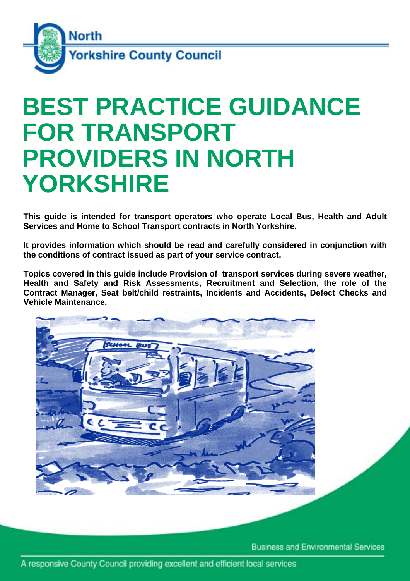

# **FOR TRANSPORT BEST PRACTICE GUIDANCE PROVIDERS IN NORTH YORKSHIRE**

**This guide is intended for transport operators who operate Local Bus, Health and Adult Services and Home to School Transport contracts in North Yorkshire.** 

**It provides information which should be read and carefully considered in conjunction with the conditions of contract issued as part of your service contract.** 

**Topics covered in this guide include Provision of transport services during severe weather, Health and Safety and Risk Assessments, Recruitment and Selection, the role of the Contract Manager, Seat belt/child restraints, Incidents and Accidents, Defect Checks and Vehicle Maintenance.** 



**Business and Environmental Services**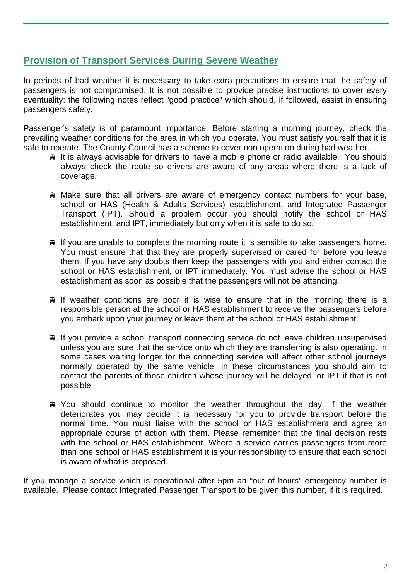# **Provision of Transport Services During Severe Weather**

In periods of bad weather it is necessary to take extra precautions to ensure that the safety of passengers is not compromised. It is not possible to provide precise instructions to cover every eventuality: the following notes reflect "good practice" which should, if followed, assist in ensuring passengers safety.

Passenger's safety is of paramount importance. Before starting a morning journey, check the prevailing weather conditions for the area in which you operate. You must satisfy yourself that it is safe to operate. The County Council has a scheme to cover non operation during bad weather.

- $\overline{P}$  It is always advisable for drivers to have a mobile phone or radio available. You should always check the route so drivers are aware of any areas where there is a lack of coverage.
- Make sure that all drivers are aware of emergency contact numbers for your base, school or HAS (Health & Adults Services) establishment, and Integrated Passenger Transport (IPT). Should a problem occur you should notify the school or HAS establishment, and IPT, immediately but only when it is safe to do so.
- $\equiv$  If you are unable to complete the morning route it is sensible to take passengers home. You must ensure that that they are properly supervised or cared for before you leave them. If you have any doubts then keep the passengers with you and either contact the school or HAS establishment, or IPT immediately. You must advise the school or HAS establishment as soon as possible that the passengers will not be attending.
- $\equiv$  If weather conditions are poor it is wise to ensure that in the morning there is a responsible person at the school or HAS establishment to receive the passengers before you embark upon your journey or leave them at the school or HAS establishment.
- $\equiv$  If you provide a school transport connecting service do not leave children unsupervised unless you are sure that the service onto which they are transferring is also operating. In some cases waiting longer for the connecting service will affect other school journeys normally operated by the same vehicle. In these circumstances you should aim to contact the parents of those children whose journey will be delayed, or IPT if that is not possible.
- You should continue to monitor the weather throughout the day. If the weather deteriorates you may decide it is necessary for you to provide transport before the normal time. You must liaise with the school or HAS establishment and agree an appropriate course of action with them. Please remember that the final decision rests with the school or HAS establishment. Where a service carries passengers from more than one school or HAS establishment it is your responsibility to ensure that each school is aware of what is proposed.

If you manage a service which is operational after 5pm an "out of hours" emergency number is available. Please contact Integrated Passenger Transport to be given this number, if it is required.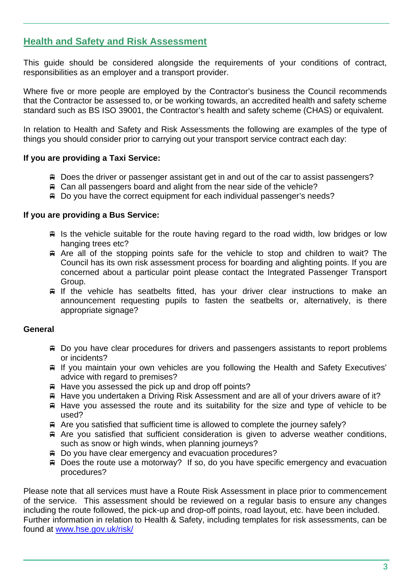# **Health and Safety and Risk Assessment**

This guide should be considered alongside the requirements of your conditions of contract, responsibilities as an employer and a transport provider.

Where five or more people are employed by the Contractor's business the Council recommends that the Contractor be assessed to, or be working towards, an accredited health and safety scheme standard such as BS ISO 39001, the Contractor's health and safety scheme (CHAS) or equivalent.

In relation to Health and Safety and Risk Assessments the following are examples of the type of things you should consider prior to carrying out your transport service contract each day:

## **If you are providing a Taxi Service:**

- Does the driver or passenger assistant get in and out of the car to assist passengers?
- Can all passengers board and alight from the near side of the vehicle?
- Do you have the correct equipment for each individual passenger's needs?

#### **If you are providing a Bus Service:**

- $\equiv$  Is the vehicle suitable for the route having regard to the road width, low bridges or low hanging trees etc?
- Are all of the stopping points safe for the vehicle to stop and children to wait? The Council has its own risk assessment process for boarding and alighting points. If you are concerned about a particular point please contact the Integrated Passenger Transport Group.
- $\equiv$  If the vehicle has seatbelts fitted, has your driver clear instructions to make an announcement requesting pupils to fasten the seatbelts or, alternatively, is there appropriate signage?

## **General**

- Do you have clear procedures for drivers and passengers assistants to report problems or incidents?
- If you maintain your own vehicles are you following the Health and Safety Executives' advice with regard to premises?
- $\#$  Have you assessed the pick up and drop off points?
- Have you undertaken a Driving Risk Assessment and are all of your drivers aware of it?
- $\#$  Have you assessed the route and its suitability for the size and type of vehicle to be used?
- Are you satisfied that sufficient time is allowed to complete the journey safely?
- Are you satisfied that sufficient consideration is given to adverse weather conditions, such as snow or high winds, when planning journeys?
- Do you have clear emergency and evacuation procedures?
- Does the route use a motorway? If so, do you have specific emergency and evacuation procedures?

Please note that all services must have a Route Risk Assessment in place prior to commencement of the service. This assessment should be reviewed on a regular basis to ensure any changes including the route followed, the pick-up and drop-off points, road layout, etc. have been included. Further information in relation to Health & Safety, including templates for risk assessments, can be found at www.hse.gov.uk/risk/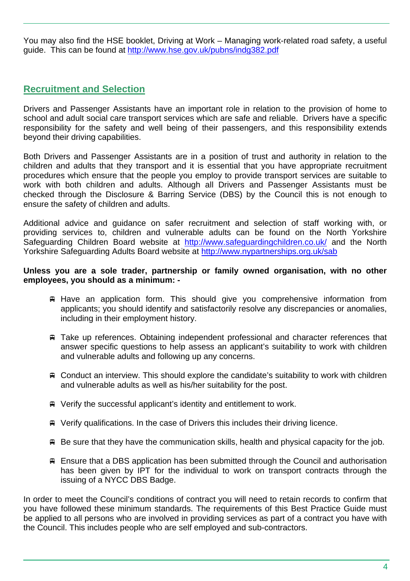You may also find the HSE booklet, Driving at Work – Managing work-related road safety, a useful guide. This can be found at http://www.hse.gov.uk/pubns/indg382.pdf

# **Recruitment and Selection**

Drivers and Passenger Assistants have an important role in relation to the provision of home to school and adult social care transport services which are safe and reliable. Drivers have a specific responsibility for the safety and well being of their passengers, and this responsibility extends beyond their driving capabilities.

Both Drivers and Passenger Assistants are in a position of trust and authority in relation to the children and adults that they transport and it is essential that you have appropriate recruitment procedures which ensure that the people you employ to provide transport services are suitable to work with both children and adults. Although all Drivers and Passenger Assistants must be checked through the Disclosure & Barring Service (DBS) by the Council this is not enough to ensure the safety of children and adults.

Additional advice and guidance on safer recruitment and selection of staff working with, or providing services to, children and vulnerable adults can be found on the North Yorkshire Safeguarding Children Board website at http://www.safeguardingchildren.co.uk/ and the North Yorkshire Safeguarding Adults Board website at http://www.nypartnerships.org.uk/sab

#### **Unless you are a sole trader, partnership or family owned organisation, with no other employees, you should as a minimum: -**

- $\#$  Have an application form. This should give you comprehensive information from applicants; you should identify and satisfactorily resolve any discrepancies or anomalies, including in their employment history.
- Take up references. Obtaining independent professional and character references that answer specific questions to help assess an applicant's suitability to work with children and vulnerable adults and following up any concerns.
- Conduct an interview. This should explore the candidate's suitability to work with children and vulnerable adults as well as his/her suitability for the post.
- Verify the successful applicant's identity and entitlement to work.
- Verify qualifications. In the case of Drivers this includes their driving licence.
- $\triangle$  Be sure that they have the communication skills, health and physical capacity for the job.
- Ensure that a DBS application has been submitted through the Council and authorisation has been given by IPT for the individual to work on transport contracts through the issuing of a NYCC DBS Badge.

In order to meet the Council's conditions of contract you will need to retain records to confirm that you have followed these minimum standards. The requirements of this Best Practice Guide must be applied to all persons who are involved in providing services as part of a contract you have with the Council. This includes people who are self employed and sub-contractors.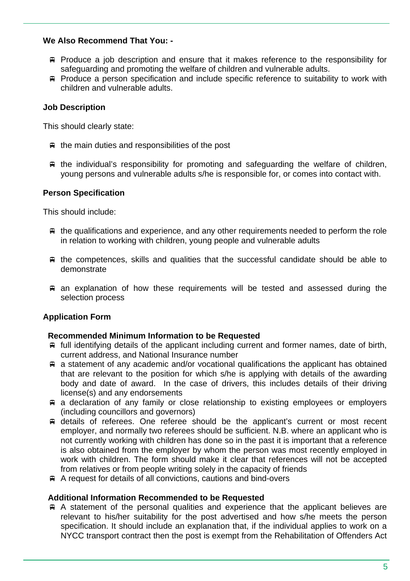## **We Also Recommend That You: -**

- Produce a job description and ensure that it makes reference to the responsibility for safeguarding and promoting the welfare of children and vulnerable adults.
- Produce a person specification and include specific reference to suitability to work with children and vulnerable adults.

## **Job Description**

This should clearly state:

- $\equiv$  the main duties and responsibilities of the post
- $\equiv$  the individual's responsibility for promoting and safeguarding the welfare of children, young persons and vulnerable adults s/he is responsible for, or comes into contact with.

## **Person Specification**

This should include:

- $\equiv$  the qualifications and experience, and any other requirements needed to perform the role in relation to working with children, young people and vulnerable adults
- $\#$  the competences, skills and qualities that the successful candidate should be able to demonstrate
- $\equiv$  an explanation of how these requirements will be tested and assessed during the selection process

# **Application Form**

## **Recommended Minimum Information to be Requested**

- $\#$  full identifying details of the applicant including current and former names, date of birth, current address, and National Insurance number
- $\equiv$  a statement of any academic and/or vocational qualifications the applicant has obtained that are relevant to the position for which s/he is applying with details of the awarding body and date of award. In the case of drivers, this includes details of their driving license(s) and any endorsements
- a declaration of any family or close relationship to existing employees or employers (including councillors and governors)
- details of referees. One referee should be the applicant's current or most recent employer, and normally two referees should be sufficient. N.B. where an applicant who is not currently working with children has done so in the past it is important that a reference is also obtained from the employer by whom the person was most recently employed in work with children. The form should make it clear that references will not be accepted from relatives or from people writing solely in the capacity of friends
- A request for details of all convictions, cautions and bind-overs

#### **Additional Information Recommended to be Requested**

 A statement of the personal qualities and experience that the applicant believes are relevant to his/her suitability for the post advertised and how s/he meets the person specification. It should include an explanation that, if the individual applies to work on a NYCC transport contract then the post is exempt from the Rehabilitation of Offenders Act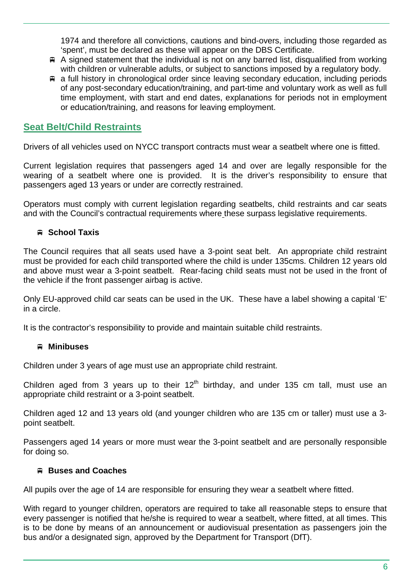1974 and therefore all convictions, cautions and bind-overs, including those regarded as 'spent', must be declared as these will appear on the DBS Certificate.

- $\#$  A signed statement that the individual is not on any barred list, disqualified from working with children or vulnerable adults, or subject to sanctions imposed by a regulatory body.
- $\equiv$  a full history in chronological order since leaving secondary education, including periods of any post-secondary education/training, and part-time and voluntary work as well as full time employment, with start and end dates, explanations for periods not in employment or education/training, and reasons for leaving employment.

# **Seat Belt/Child Restraints**

Drivers of all vehicles used on NYCC transport contracts must wear a seatbelt where one is fitted.

Current legislation requires that passengers aged 14 and over are legally responsible for the wearing of a seatbelt where one is provided. It is the driver's responsibility to ensure that passengers aged 13 years or under are correctly restrained.

Operators must comply with current legislation regarding seatbelts, child restraints and car seats and with the Council's contractual requirements where these surpass legislative requirements.

# **School Taxis**

The Council requires that all seats used have a 3-point seat belt. An appropriate child restraint must be provided for each child transported where the child is under 135cms. Children 12 years old and above must wear a 3-point seatbelt. Rear-facing child seats must not be used in the front of the vehicle if the front passenger airbag is active.

Only EU-approved child car seats can be used in the UK. These have a label showing a capital 'E' in a circle.

It is the contractor's responsibility to provide and maintain suitable child restraints.

# **Minibuses**

Children under 3 years of age must use an appropriate child restraint.

Children aged from 3 years up to their  $12<sup>th</sup>$  birthday, and under 135 cm tall, must use an appropriate child restraint or a 3-point seatbelt.

Children aged 12 and 13 years old (and younger children who are 135 cm or taller) must use a 3 point seatbelt.

Passengers aged 14 years or more must wear the 3-point seatbelt and are personally responsible for doing so.

# **Buses and Coaches**

All pupils over the age of 14 are responsible for ensuring they wear a seatbelt where fitted.

With regard to younger children, operators are required to take all reasonable steps to ensure that every passenger is notified that he/she is required to wear a seatbelt, where fitted, at all times. This is to be done by means of an announcement or audiovisual presentation as passengers join the bus and/or a designated sign, approved by the Department for Transport (DfT).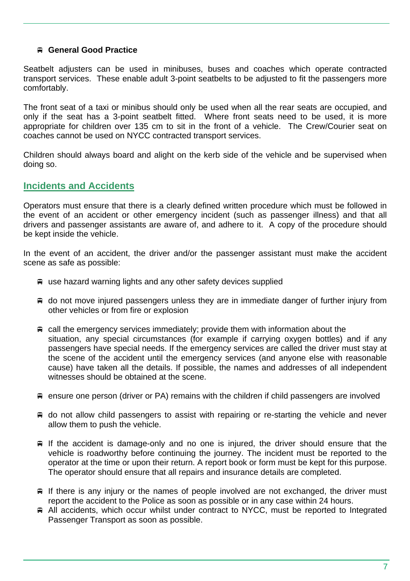## **General Good Practice**

Seatbelt adjusters can be used in minibuses, buses and coaches which operate contracted transport services. These enable adult 3-point seatbelts to be adjusted to fit the passengers more comfortably.

The front seat of a taxi or minibus should only be used when all the rear seats are occupied, and only if the seat has a 3-point seatbelt fitted. Where front seats need to be used, it is more appropriate for children over 135 cm to sit in the front of a vehicle. The Crew/Courier seat on coaches cannot be used on NYCC contracted transport services.

Children should always board and alight on the kerb side of the vehicle and be supervised when doing so.

# **Incidents and Accidents**

Operators must ensure that there is a clearly defined written procedure which must be followed in the event of an accident or other emergency incident (such as passenger illness) and that all drivers and passenger assistants are aware of, and adhere to it. A copy of the procedure should be kept inside the vehicle.

In the event of an accident, the driver and/or the passenger assistant must make the accident scene as safe as possible:

- use hazard warning lights and any other safety devices supplied
- $\equiv$  do not move injured passengers unless they are in immediate danger of further injury from other vehicles or from fire or explosion
- $\equiv$  call the emergency services immediately; provide them with information about the situation, any special circumstances (for example if carrying oxygen bottles) and if any passengers have special needs. If the emergency services are called the driver must stay at the scene of the accident until the emergency services (and anyone else with reasonable cause) have taken all the details. If possible, the names and addresses of all independent witnesses should be obtained at the scene.
- $\equiv$  ensure one person (driver or PA) remains with the children if child passengers are involved
- $\equiv$  do not allow child passengers to assist with repairing or re-starting the vehicle and never allow them to push the vehicle.
- $\equiv$  If the accident is damage-only and no one is injured, the driver should ensure that the vehicle is roadworthy before continuing the journey. The incident must be reported to the operator at the time or upon their return. A report book or form must be kept for this purpose. The operator should ensure that all repairs and insurance details are completed.
- $\equiv$  If there is any injury or the names of people involved are not exchanged, the driver must report the accident to the Police as soon as possible or in any case within 24 hours.
- All accidents, which occur whilst under contract to NYCC, must be reported to Integrated Passenger Transport as soon as possible.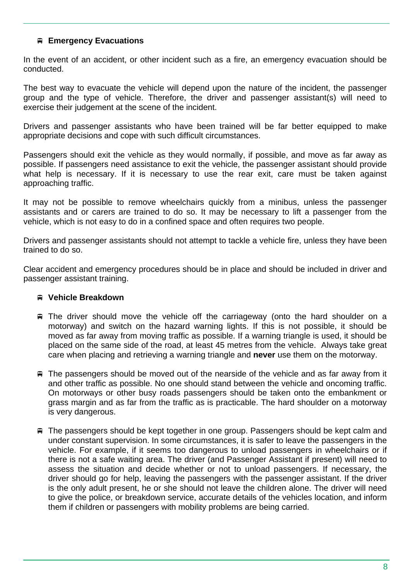## **Emergency Evacuations**

In the event of an accident, or other incident such as a fire, an emergency evacuation should be conducted.

The best way to evacuate the vehicle will depend upon the nature of the incident, the passenger group and the type of vehicle. Therefore, the driver and passenger assistant(s) will need to exercise their judgement at the scene of the incident.

Drivers and passenger assistants who have been trained will be far better equipped to make appropriate decisions and cope with such difficult circumstances.

Passengers should exit the vehicle as they would normally, if possible, and move as far away as possible. If passengers need assistance to exit the vehicle, the passenger assistant should provide what help is necessary. If it is necessary to use the rear exit, care must be taken against approaching traffic.

It may not be possible to remove wheelchairs quickly from a minibus, unless the passenger assistants and or carers are trained to do so. It may be necessary to lift a passenger from the vehicle, which is not easy to do in a confined space and often requires two people.

Drivers and passenger assistants should not attempt to tackle a vehicle fire, unless they have been trained to do so.

Clear accident and emergency procedures should be in place and should be included in driver and passenger assistant training.

## **Vehicle Breakdown**

- The driver should move the vehicle off the carriageway (onto the hard shoulder on a motorway) and switch on the hazard warning lights. If this is not possible, it should be moved as far away from moving traffic as possible. If a warning triangle is used, it should be placed on the same side of the road, at least 45 metres from the vehicle. Always take great care when placing and retrieving a warning triangle and **never** use them on the motorway.
- $\equiv$  The passengers should be moved out of the nearside of the vehicle and as far away from it and other traffic as possible. No one should stand between the vehicle and oncoming traffic. On motorways or other busy roads passengers should be taken onto the embankment or grass margin and as far from the traffic as is practicable. The hard shoulder on a motorway is very dangerous.
- The passengers should be kept together in one group. Passengers should be kept calm and under constant supervision. In some circumstances, it is safer to leave the passengers in the vehicle. For example, if it seems too dangerous to unload passengers in wheelchairs or if there is not a safe waiting area. The driver (and Passenger Assistant if present) will need to assess the situation and decide whether or not to unload passengers. If necessary, the driver should go for help, leaving the passengers with the passenger assistant. If the driver is the only adult present, he or she should not leave the children alone. The driver will need to give the police, or breakdown service, accurate details of the vehicles location, and inform them if children or passengers with mobility problems are being carried.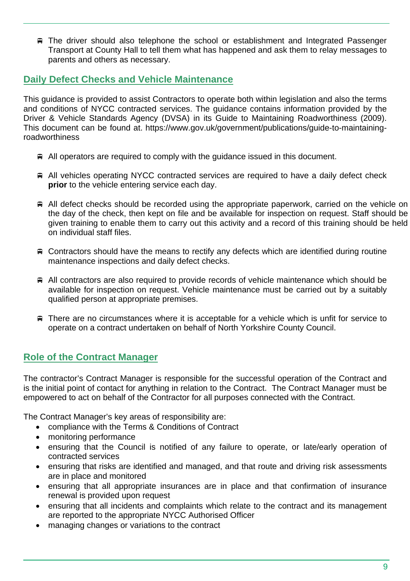The driver should also telephone the school or establishment and Integrated Passenger Transport at County Hall to tell them what has happened and ask them to relay messages to parents and others as necessary.

# **Daily Defect Checks and Vehicle Maintenance**

This guidance is provided to assist Contractors to operate both within legislation and also the terms and conditions of NYCC contracted services. The guidance contains information provided by the Driver & Vehicle Standards Agency (DVSA) in its Guide to Maintaining Roadworthiness (2009). This document can be found at. https://www.gov.uk/government/publications/guide-to-maintainingroadworthiness

- $\triangleq$  All operators are required to comply with the quidance issued in this document.
- All vehicles operating NYCC contracted services are required to have a daily defect check **prior** to the vehicle entering service each day.
- $\#$  All defect checks should be recorded using the appropriate paperwork, carried on the vehicle on the day of the check, then kept on file and be available for inspection on request. Staff should be given training to enable them to carry out this activity and a record of this training should be held on individual staff files.
- $\triangle$  Contractors should have the means to rectify any defects which are identified during routine maintenance inspections and daily defect checks.
- All contractors are also required to provide records of vehicle maintenance which should be available for inspection on request. Vehicle maintenance must be carried out by a suitably qualified person at appropriate premises.
- There are no circumstances where it is acceptable for a vehicle which is unfit for service to operate on a contract undertaken on behalf of North Yorkshire County Council.

# **Role of the Contract Manager**

The contractor's Contract Manager is responsible for the successful operation of the Contract and is the initial point of contact for anything in relation to the Contract. The Contract Manager must be empowered to act on behalf of the Contractor for all purposes connected with the Contract.

The Contract Manager's key areas of responsibility are:

- compliance with the Terms & Conditions of Contract
- monitoring performance
- ensuring that the Council is notified of any failure to operate, or late/early operation of contracted services
- ensuring that risks are identified and managed, and that route and driving risk assessments are in place and monitored
- ensuring that all appropriate insurances are in place and that confirmation of insurance renewal is provided upon request
- ensuring that all incidents and complaints which relate to the contract and its management are reported to the appropriate NYCC Authorised Officer
- managing changes or variations to the contract